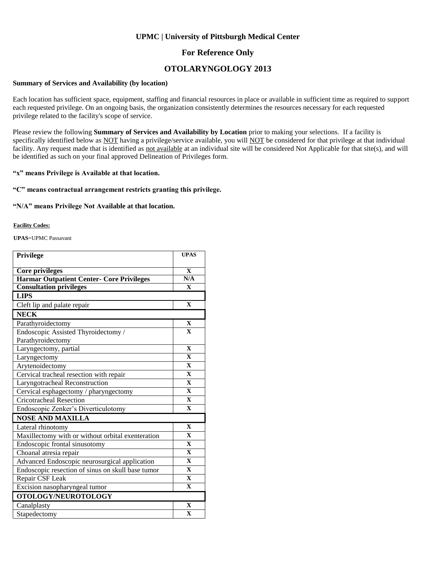### **UPMC | University of Pittsburgh Medical Center**

## **For Reference Only**

## **OTOLARYNGOLOGY 2013**

#### **Summary of Services and Availability (by location)**

Each location has sufficient space, equipment, staffing and financial resources in place or available in sufficient time as required to support each requested privilege. On an ongoing basis, the organization consistently determines the resources necessary for each requested privilege related to the facility's scope of service.

Please review the following **Summary of Services and Availability by Location** prior to making your selections. If a facility is specifically identified below as NOT having a privilege/service available, you will NOT be considered for that privilege at that individual facility. Any request made that is identified as not available at an individual site will be considered Not Applicable for that site(s), and will be identified as such on your final approved Delineation of Privileges form.

### **"x" means Privilege is Available at that location.**

### **"C" means contractual arrangement restricts granting this privilege.**

#### **"N/A" means Privilege Not Available at that location.**

#### **Facility Codes:**

**UPAS**=UPMC Passavant

| Privilege                                         | <b>UPAS</b>             |
|---------------------------------------------------|-------------------------|
| <b>Core privileges</b>                            | $\mathbf{X}$            |
| <b>Harmar Outpatient Center- Core Privileges</b>  | N/A                     |
| <b>Consultation privileges</b>                    | $\mathbf{X}$            |
| <b>LIPS</b>                                       |                         |
| Cleft lip and palate repair                       | $\mathbf X$             |
| <b>NECK</b>                                       |                         |
| Parathyroidectomy                                 | $\mathbf X$             |
| Endoscopic Assisted Thyroidectomy /               | $\overline{\mathbf{X}}$ |
| Parathyroidectomy                                 |                         |
| Laryngectomy, partial                             | $\mathbf{X}$            |
| Laryngectomy                                      | $\overline{\mathbf{X}}$ |
| Arytenoidectomy                                   | $\mathbf{X}$            |
| Cervical tracheal resection with repair           | $\overline{\mathbf{X}}$ |
| Laryngotracheal Reconstruction                    | $\mathbf{X}$            |
| Cervical esphagectomy / pharyngectomy             | $\mathbf{X}$            |
| <b>Cricotracheal Resection</b>                    | $\mathbf X$             |
| Endoscopic Zenker's Diverticulotomy               | $\mathbf{X}$            |
| <b>NOSE AND MAXILLA</b>                           |                         |
| Lateral rhinotomy                                 | $\mathbf{X}$            |
| Maxillectomy with or without orbital exenteration | $\mathbf{X}$            |
| Endoscopic frontal sinusotomy                     | $\mathbf{X}$            |
| Choanal atresia repair                            | $\mathbf X$             |
| Advanced Endoscopic neurosurgical application     | $\mathbf{X}$            |
| Endoscopic resection of sinus on skull base tumor | $\mathbf{X}$            |
| Repair CSF Leak                                   | $\mathbf X$             |
| Excision nasopharyngeal tumor                     | $\mathbf X$             |
| OTOLOGY/NEUROTOLOGY                               |                         |
| Canalplasty                                       | $\mathbf{X}$            |
| Stapedectomy                                      | $\overline{\mathbf{X}}$ |